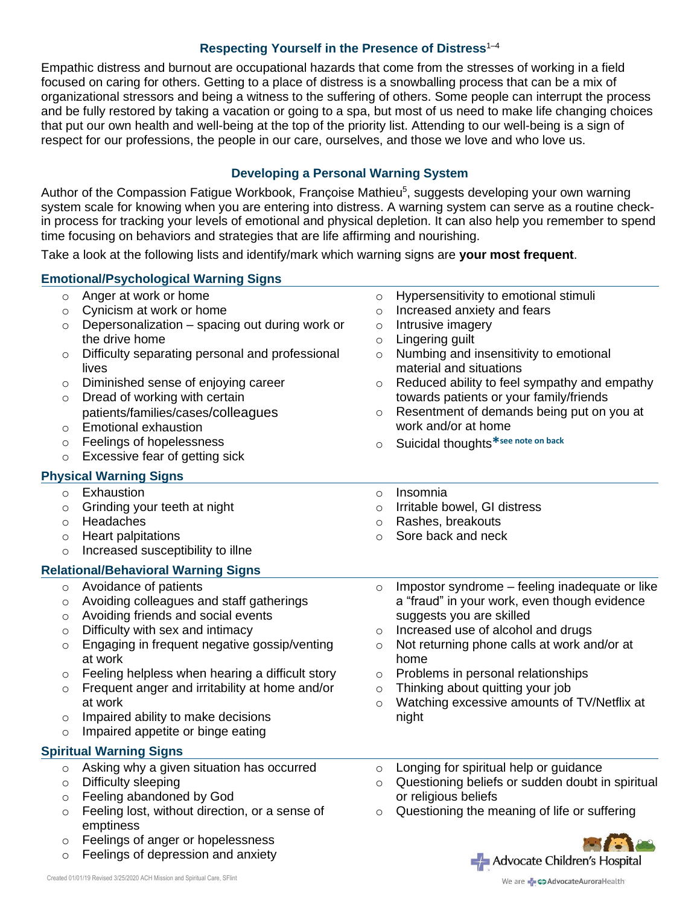### **Respecting Yourself in the Presence of Distress**1–4

Empathic distress and burnout are occupational hazards that come from the stresses of working in a field focused on caring for others. Getting to a place of distress is a snowballing process that can be a mix of organizational stressors and being a witness to the suffering of others. Some people can interrupt the process and be fully restored by taking a vacation or going to a spa, but most of us need to make life changing choices that put our own health and well-being at the top of the priority list. Attending to our well-being is a sign of respect for our professions, the people in our care, ourselves, and those we love and who love us.

# **Developing a Personal Warning System**

Author of the Compassion Fatigue Workbook, Françoise Mathieu<sup>5</sup>, suggests developing your own warning system scale for knowing when you are entering into distress. A warning system can serve as a routine checkin process for tracking your levels of emotional and physical depletion. It can also help you remember to spend time focusing on behaviors and strategies that are life affirming and nourishing.

Take a look at the following lists and identify/mark which warning signs are **your most frequent**.

# **Emotional/Psychological Warning Signs**

| O       | Anger at work or home                           | $\circ$ | Hypersensitivity to emotional stimuli            |
|---------|-------------------------------------------------|---------|--------------------------------------------------|
| O       | Cynicism at work or home                        | $\circ$ | Increased anxiety and fears                      |
| O       | Depersonalization - spacing out during work or  | $\circ$ | Intrusive imagery                                |
|         | the drive home                                  | $\circ$ | Lingering guilt                                  |
| O       | Difficulty separating personal and professional | $\circ$ | Numbing and insensitivity to emotional           |
|         | lives                                           |         | material and situations                          |
| O       | Diminished sense of enjoying career             | $\circ$ | Reduced ability to feel sympathy and empathy     |
| $\circ$ | Dread of working with certain                   |         | towards patients or your family/friends          |
|         | patients/families/cases/colleagues              | $\circ$ | Resentment of demands being put on you at        |
| O       | <b>Emotional exhaustion</b>                     |         | work and/or at home                              |
| $\circ$ | Feelings of hopelessness                        | $\circ$ | Suicidal thoughts <sup>*see note on back</sup>   |
| $\circ$ | Excessive fear of getting sick                  |         |                                                  |
|         | <b>Physical Warning Signs</b>                   |         |                                                  |
| $\circ$ | Exhaustion                                      | $\circ$ | Insomnia                                         |
| $\circ$ | Grinding your teeth at night                    | $\circ$ | Irritable bowel, GI distress                     |
| $\circ$ | Headaches                                       | $\circ$ | Rashes, breakouts                                |
| O       | Heart palpitations                              | $\circ$ | Sore back and neck                               |
| $\circ$ | Increased susceptibility to illne               |         |                                                  |
|         | <b>Relational/Behavioral Warning Signs</b>      |         |                                                  |
| $\circ$ | Avoidance of patients                           | $\circ$ | Impostor syndrome - feeling inadequate or like   |
| O       | Avoiding colleagues and staff gatherings        |         | a "fraud" in your work, even though evidence     |
| $\circ$ | Avoiding friends and social events              |         | suggests you are skilled                         |
| $\circ$ | Difficulty with sex and intimacy                | $\circ$ | Increased use of alcohol and drugs               |
| $\circ$ | Engaging in frequent negative gossip/venting    | $\circ$ | Not returning phone calls at work and/or at      |
|         | at work                                         |         | home                                             |
| $\circ$ | Feeling helpless when hearing a difficult story | $\circ$ | Problems in personal relationships               |
| O       | Frequent anger and irritability at home and/or  | $\circ$ | Thinking about quitting your job                 |
|         | at work                                         | $\circ$ | Watching excessive amounts of TV/Netflix at      |
| $\circ$ | Impaired ability to make decisions              |         | night                                            |
| $\circ$ | Impaired appetite or binge eating               |         |                                                  |
|         | <b>Spiritual Warning Signs</b>                  |         |                                                  |
| $\circ$ | Asking why a given situation has occurred       | $\circ$ | Longing for spiritual help or guidance           |
| $\circ$ | Difficulty sleeping                             | $\circ$ | Questioning beliefs or sudden doubt in spiritual |
| $\circ$ | Feeling abandoned by God                        |         | or religious beliefs                             |
| $\circ$ | Feeling lost, without direction, or a sense of  | $\circ$ | Questioning the meaning of life or suffering     |
|         | emptiness                                       |         |                                                  |
| $\circ$ | Feelings of anger or hopelessness               |         |                                                  |
| $\circ$ | Feelings of depression and anxiety              |         | Advocate Children's Hospital                     |
|         |                                                 |         |                                                  |

We are - COAdvocateAuroraHealth